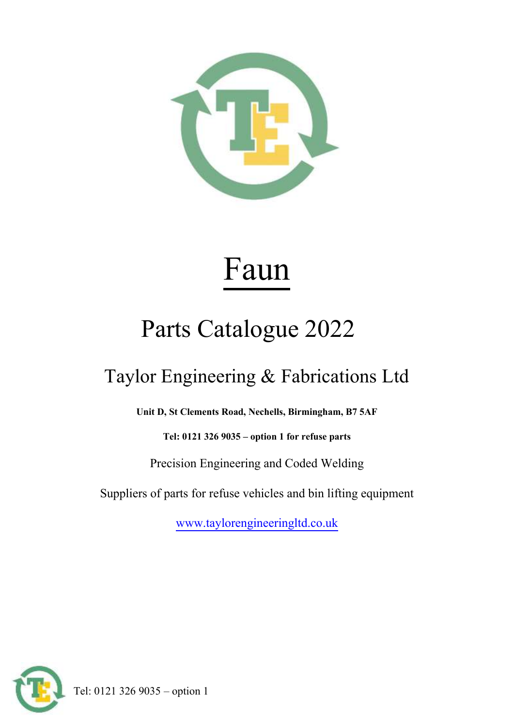

# Faun

# Parts Catalogue 2022

## Taylor Engineering & Fabrications Ltd

**Unit D, St Clements Road, Nechells, Birmingham, B7 5AF**

**Tel: 0121 326 9035 – option 1 for refuse parts**

Precision Engineering and Coded Welding

Suppliers of parts for refuse vehicles and bin lifting equipment

[www.taylorengineeringltd.co.uk](http://www.taylorengineeringltd.co.uk/)



Tel: 0121 326 9035 – option 1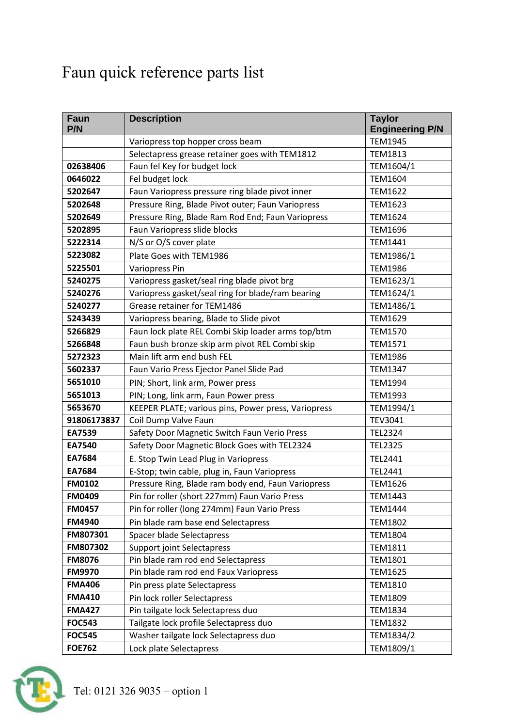### Faun quick reference parts list

| <b>Faun</b><br>P/N | <b>Description</b>                                         | <b>Taylor</b><br><b>Engineering P/N</b> |
|--------------------|------------------------------------------------------------|-----------------------------------------|
|                    | Variopress top hopper cross beam                           | <b>TEM1945</b>                          |
|                    | Selectapress grease retainer goes with TEM1812             | <b>TEM1813</b>                          |
| 02638406           | Faun fel Key for budget lock                               | TEM1604/1                               |
| 0646022            | Fel budget lock                                            | <b>TEM1604</b>                          |
| 5202647            | Faun Variopress pressure ring blade pivot inner            | <b>TEM1622</b>                          |
| 5202648            | Pressure Ring, Blade Pivot outer; Faun Variopress          | TEM1623                                 |
| 5202649            | Pressure Ring, Blade Ram Rod End; Faun Variopress          | <b>TEM1624</b>                          |
| 5202895            | Faun Variopress slide blocks                               | <b>TEM1696</b>                          |
| 5222314            | N/S or O/S cover plate                                     | TEM1441                                 |
| 5223082            | Plate Goes with TEM1986                                    | TEM1986/1                               |
| 5225501            | <b>Variopress Pin</b>                                      | <b>TEM1986</b>                          |
| 5240275            | Variopress gasket/seal ring blade pivot brg                | TEM1623/1                               |
| 5240276            | Variopress gasket/seal ring for blade/ram bearing          | TEM1624/1                               |
| 5240277            | Grease retainer for TEM1486                                | TEM1486/1                               |
| 5243439            | Variopress bearing, Blade to Slide pivot                   | <b>TEM1629</b>                          |
| 5266829            | Faun lock plate REL Combi Skip loader arms top/btm         | <b>TEM1570</b>                          |
| 5266848            | Faun bush bronze skip arm pivot REL Combi skip             | TEM1571                                 |
| 5272323            | Main lift arm end bush FEL                                 | <b>TEM1986</b>                          |
| 5602337            | Faun Vario Press Ejector Panel Slide Pad<br><b>TEM1347</b> |                                         |
| 5651010            | PIN; Short, link arm, Power press                          | <b>TEM1994</b>                          |
| 5651013            | PIN; Long, link arm, Faun Power press                      | TEM1993                                 |
| 5653670            | KEEPER PLATE; various pins, Power press, Variopress        | TEM1994/1                               |
| 91806173837        | Coil Dump Valve Faun                                       | <b>TEV3041</b>                          |
| EA7539             | Safety Door Magnetic Switch Faun Verio Press               | <b>TEL2324</b>                          |
| EA7540             | Safety Door Magnetic Block Goes with TEL2324               | <b>TEL2325</b>                          |
| EA7684             | E. Stop Twin Lead Plug in Variopress                       | TEL2441                                 |
| EA7684             | E-Stop; twin cable, plug in, Faun Variopress               | TEL2441                                 |
| <b>FM0102</b>      | Pressure Ring, Blade ram body end, Faun Variopress         | <b>TEM1626</b>                          |
| <b>FM0409</b>      | Pin for roller (short 227mm) Faun Vario Press              | <b>TEM1443</b>                          |
| <b>FM0457</b>      | Pin for roller (long 274mm) Faun Vario Press               | <b>TEM1444</b>                          |
| <b>FM4940</b>      | Pin blade ram base end Selectapress                        | <b>TEM1802</b>                          |
| FM807301           | Spacer blade Selectapress                                  | <b>TEM1804</b>                          |
| FM807302           | <b>Support joint Selectapress</b>                          | <b>TEM1811</b>                          |
| <b>FM8076</b>      | Pin blade ram rod end Selectapress                         | <b>TEM1801</b>                          |
| <b>FM9970</b>      | Pin blade ram rod end Faux Variopress                      | <b>TEM1625</b>                          |
| <b>FMA406</b>      | Pin press plate Selectapress                               | <b>TEM1810</b>                          |
| <b>FMA410</b>      | Pin lock roller Selectapress                               | <b>TEM1809</b>                          |
| <b>FMA427</b>      | Pin tailgate lock Selectapress duo                         | <b>TEM1834</b>                          |
| <b>FOC543</b>      | Tailgate lock profile Selectapress duo                     | <b>TEM1832</b>                          |
| <b>FOC545</b>      | Washer tailgate lock Selectapress duo<br>TEM1834/2         |                                         |
| <b>FOE762</b>      | Lock plate Selectapress                                    | TEM1809/1                               |

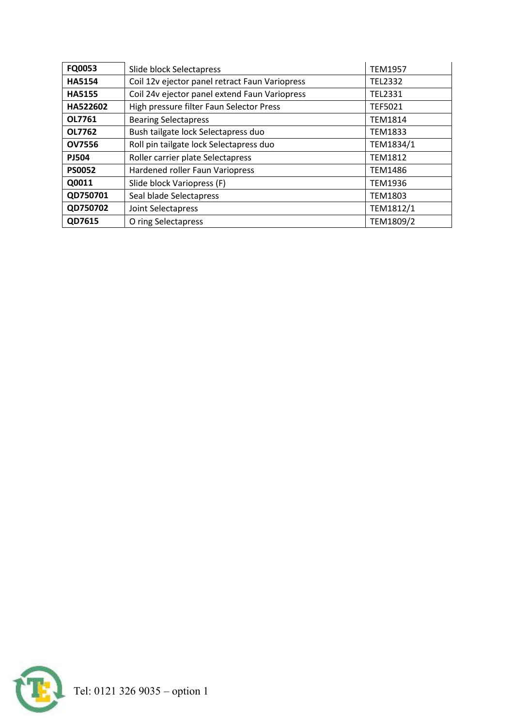| FQ0053        | Slide block Selectapress                       | <b>TEM1957</b> |
|---------------|------------------------------------------------|----------------|
| <b>HA5154</b> | Coil 12v ejector panel retract Faun Variopress | <b>TEL2332</b> |
| <b>HA5155</b> | Coil 24v ejector panel extend Faun Variopress  | TEL2331        |
| HA522602      | High pressure filter Faun Selector Press       | <b>TEF5021</b> |
| OL7761        | <b>Bearing Selectapress</b>                    | <b>TEM1814</b> |
| OL7762        | Bush tailgate lock Selectapress duo            | <b>TEM1833</b> |
| <b>OV7556</b> | Roll pin tailgate lock Selectapress duo        | TEM1834/1      |
| <b>PJ504</b>  | Roller carrier plate Selectapress              | <b>TEM1812</b> |
| <b>PS0052</b> | Hardened roller Faun Variopress                | <b>TEM1486</b> |
| Q0011         | Slide block Variopress (F)                     | <b>TEM1936</b> |
| QD750701      | Seal blade Selectapress                        | <b>TEM1803</b> |
| QD750702      | Joint Selectapress                             | TEM1812/1      |
| QD7615        | O ring Selectapress                            | TEM1809/2      |

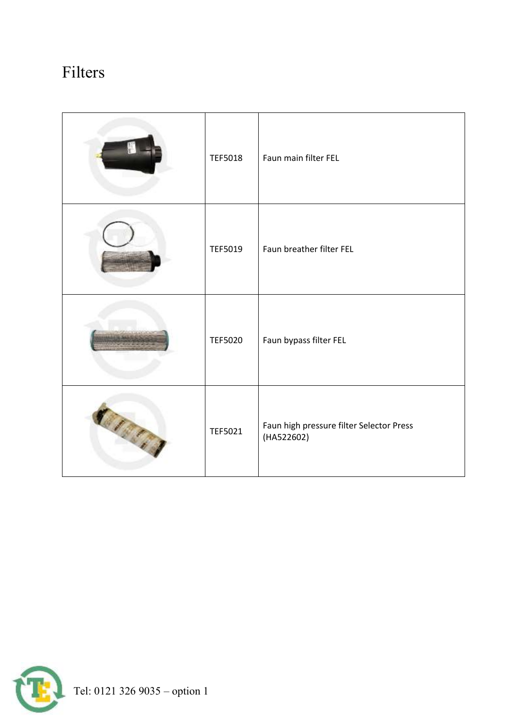#### Filters

|         | <b>TEF5018</b> | Faun main filter FEL                                   |
|---------|----------------|--------------------------------------------------------|
|         | <b>TEF5019</b> | Faun breather filter FEL                               |
|         | <b>TEF5020</b> | Faun bypass filter FEL                                 |
| BI BERT | TEF5021        | Faun high pressure filter Selector Press<br>(HA522602) |

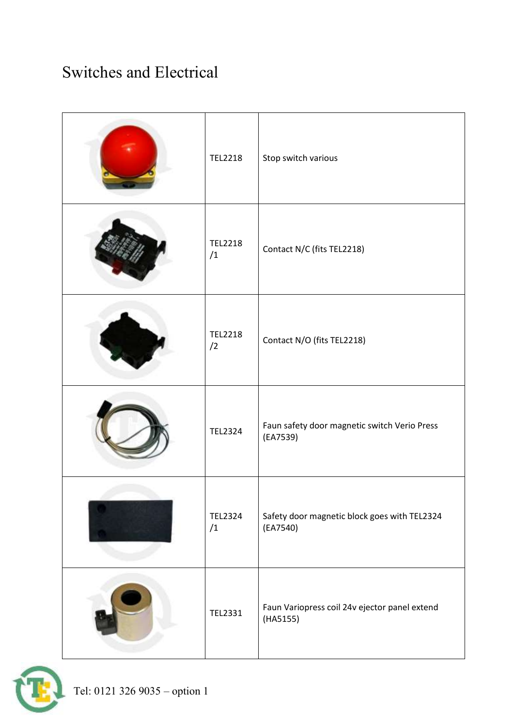#### Switches and Electrical

| <b>TEL2218</b>       | Stop switch various                                       |
|----------------------|-----------------------------------------------------------|
| <b>TEL2218</b><br>/1 | Contact N/C (fits TEL2218)                                |
| <b>TEL2218</b><br>/2 | Contact N/O (fits TEL2218)                                |
| <b>TEL2324</b>       | Faun safety door magnetic switch Verio Press<br>(EA7539)  |
| <b>TEL2324</b><br>/1 | Safety door magnetic block goes with TEL2324<br>(EA7540)  |
| TEL2331              | Faun Variopress coil 24v ejector panel extend<br>(HA5155) |

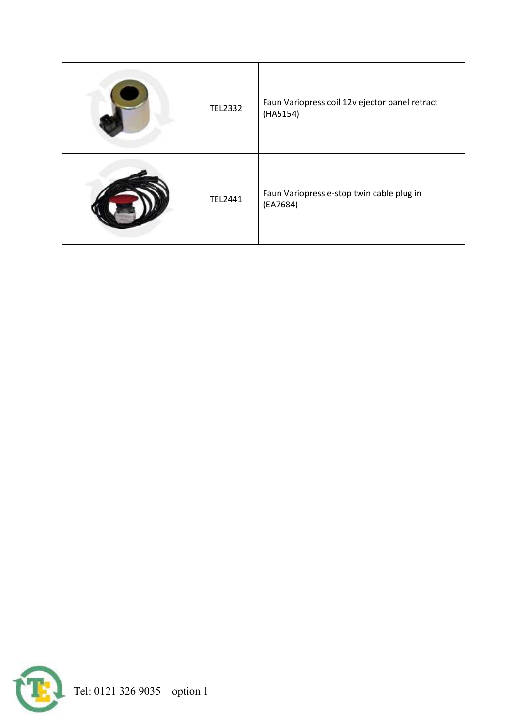| <b>TEL2332</b> | Faun Variopress coil 12v ejector panel retract<br>(HA5154) |
|----------------|------------------------------------------------------------|
| <b>TEL2441</b> | Faun Variopress e-stop twin cable plug in<br>(EA7684)      |

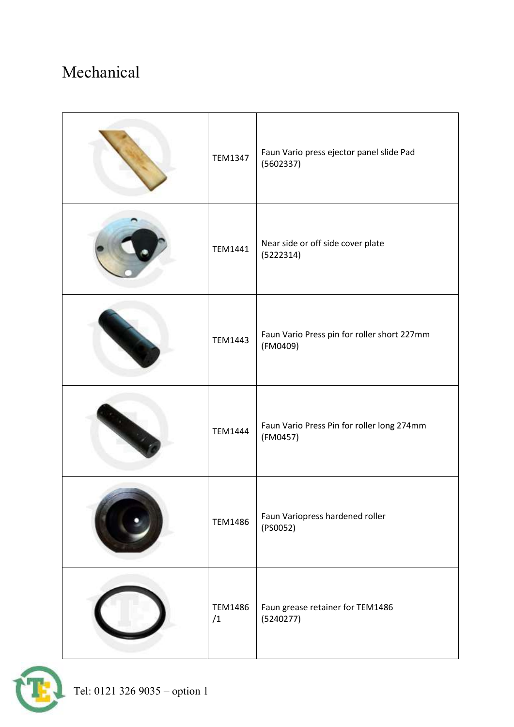#### Mechanical

| <b>TEM1347</b>       | Faun Vario press ejector panel slide Pad<br>(5602337)   |
|----------------------|---------------------------------------------------------|
| <b>TEM1441</b>       | Near side or off side cover plate<br>(5222314)          |
| <b>TEM1443</b>       | Faun Vario Press pin for roller short 227mm<br>(FM0409) |
| <b>TEM1444</b>       | Faun Vario Press Pin for roller long 274mm<br>(FM0457)  |
| <b>TEM1486</b>       | Faun Variopress hardened roller<br>(PS0052)             |
| <b>TEM1486</b><br>/1 | Faun grease retainer for TEM1486<br>(5240277)           |

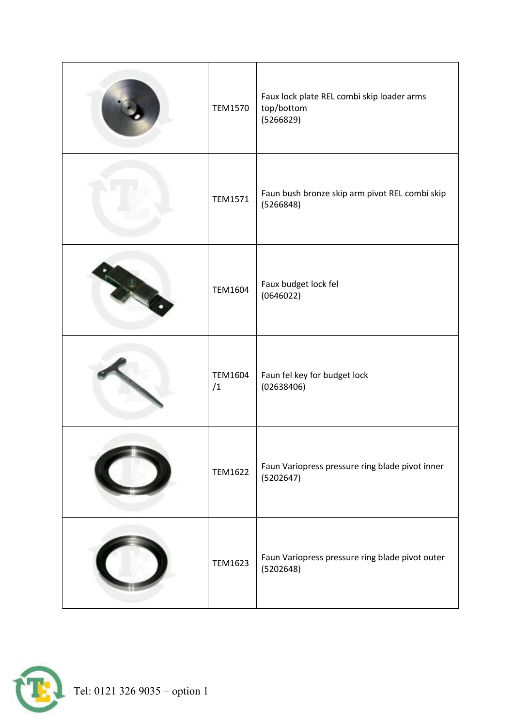| <b>TEM1570</b> | Faux lock plate REL combi skip loader arms<br>top/bottom<br>(5266829) |
|----------------|-----------------------------------------------------------------------|
| <b>TEM1571</b> | Faun bush bronze skip arm pivot REL combi skip<br>(5266848)           |
| <b>TEM1604</b> | Faux budget lock fel<br>(0646022)                                     |
| TEM1604<br>/1  | Faun fel key for budget lock<br>(02638406)                            |
| <b>TEM1622</b> | Faun Variopress pressure ring blade pivot inner<br>(5202647)          |
| <b>TEM1623</b> | Faun Variopress pressure ring blade pivot outer<br>(5202648)          |

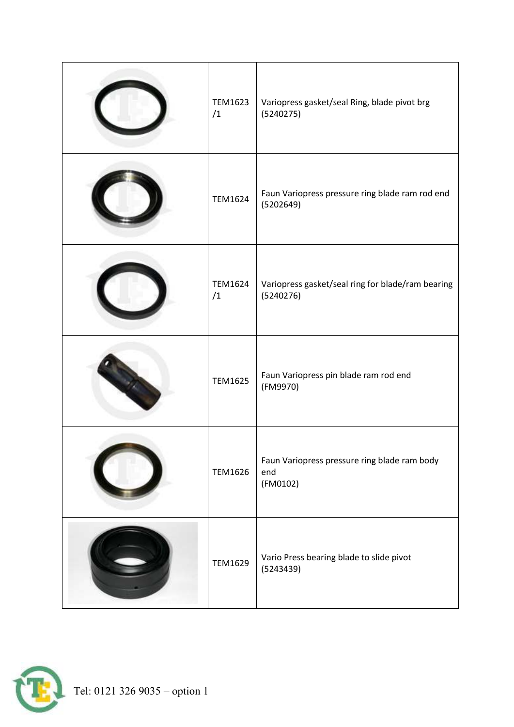| <b>TEM1623</b><br>/1 | Variopress gasket/seal Ring, blade pivot brg<br>(5240275)       |
|----------------------|-----------------------------------------------------------------|
| <b>TEM1624</b>       | Faun Variopress pressure ring blade ram rod end<br>(5202649)    |
| TEM1624<br>/1        | Variopress gasket/seal ring for blade/ram bearing<br>(5240276)  |
| <b>TEM1625</b>       | Faun Variopress pin blade ram rod end<br>(FM9970)               |
| <b>TEM1626</b>       | Faun Variopress pressure ring blade ram body<br>end<br>(FM0102) |
| <b>TEM1629</b>       | Vario Press bearing blade to slide pivot<br>(5243439)           |

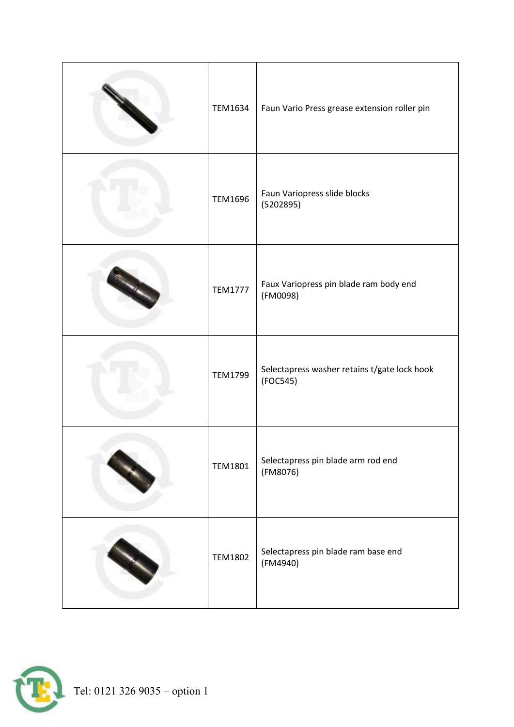| TEM1634        | Faun Vario Press grease extension roller pin             |
|----------------|----------------------------------------------------------|
| <b>TEM1696</b> | Faun Variopress slide blocks<br>(5202895)                |
| <b>TEM1777</b> | Faux Variopress pin blade ram body end<br>(FM0098)       |
| <b>TEM1799</b> | Selectapress washer retains t/gate lock hook<br>(FOC545) |
| <b>TEM1801</b> | Selectapress pin blade arm rod end<br>(FM8076)           |
| <b>TEM1802</b> | Selectapress pin blade ram base end<br>(FM4940)          |

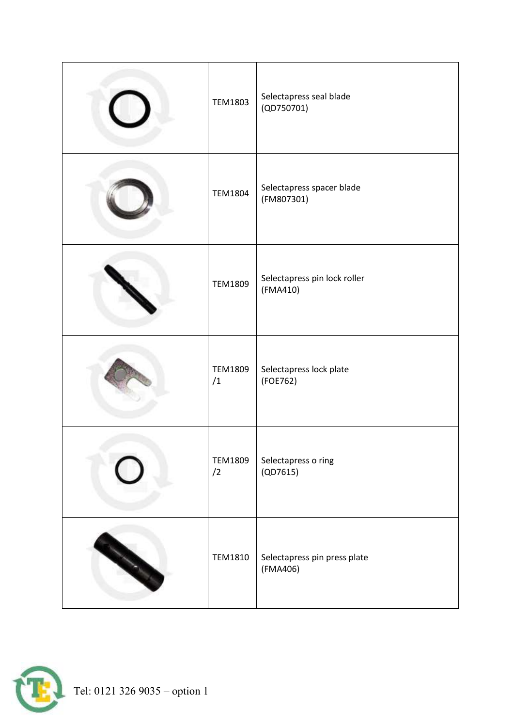| <b>TEM1803</b>       | Selectapress seal blade<br>(QD750701)    |
|----------------------|------------------------------------------|
| <b>TEM1804</b>       | Selectapress spacer blade<br>(FM807301)  |
| <b>TEM1809</b>       | Selectapress pin lock roller<br>(FMA410) |
| <b>TEM1809</b><br>/1 | Selectapress lock plate<br>(FOE762)      |
| <b>TEM1809</b><br>/2 | Selectapress o ring<br>(QD7615)          |
| <b>TEM1810</b>       | Selectapress pin press plate<br>(FMA406) |

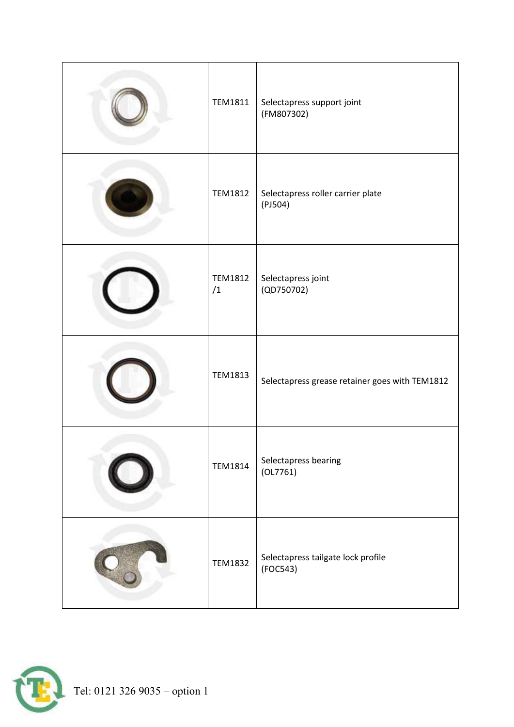| <b>TEM1811</b>       | Selectapress support joint<br>(FM807302)       |
|----------------------|------------------------------------------------|
| <b>TEM1812</b>       | Selectapress roller carrier plate<br>(PI504)   |
| <b>TEM1812</b><br>/1 | Selectapress joint<br>(QD750702)               |
| <b>TEM1813</b>       | Selectapress grease retainer goes with TEM1812 |
| <b>TEM1814</b>       | Selectapress bearing<br>(OL7761)               |
| <b>TEM1832</b>       | Selectapress tailgate lock profile<br>(FOC543) |

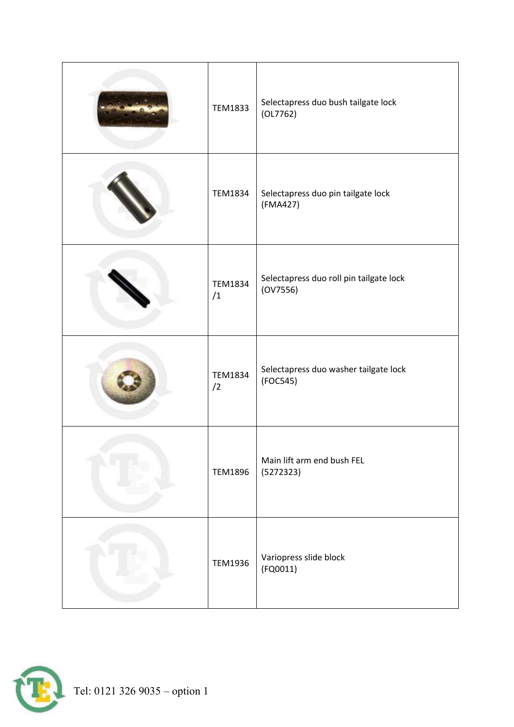| <b>TEM1833</b>       | Selectapress duo bush tailgate lock<br>(OL7762)     |
|----------------------|-----------------------------------------------------|
| <b>TEM1834</b>       | Selectapress duo pin tailgate lock<br>(FMA427)      |
| <b>TEM1834</b><br>/1 | Selectapress duo roll pin tailgate lock<br>(0V7556) |
| <b>TEM1834</b><br>/2 | Selectapress duo washer tailgate lock<br>(FOC545)   |
| <b>TEM1896</b>       | Main lift arm end bush FEL<br>(5272323)             |
| <b>TEM1936</b>       | Variopress slide block<br>(FQ0011)                  |

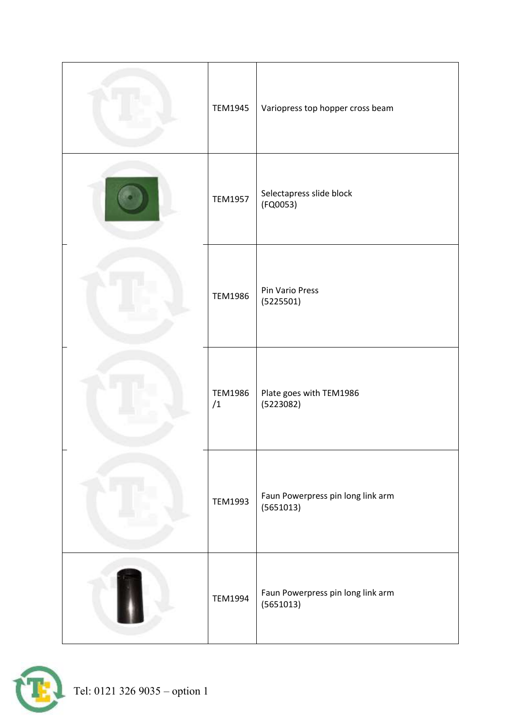| <b>TEM1945</b>       | Variopress top hopper cross beam               |
|----------------------|------------------------------------------------|
| <b>TEM1957</b>       | Selectapress slide block<br>(FQ0053)           |
| <b>TEM1986</b>       | Pin Vario Press<br>(5225501)                   |
| <b>TEM1986</b><br>/1 | Plate goes with TEM1986<br>(5223082)           |
| <b>TEM1993</b>       | Faun Powerpress pin long link arm<br>(5651013) |
| <b>TEM1994</b>       | Faun Powerpress pin long link arm<br>(5651013) |